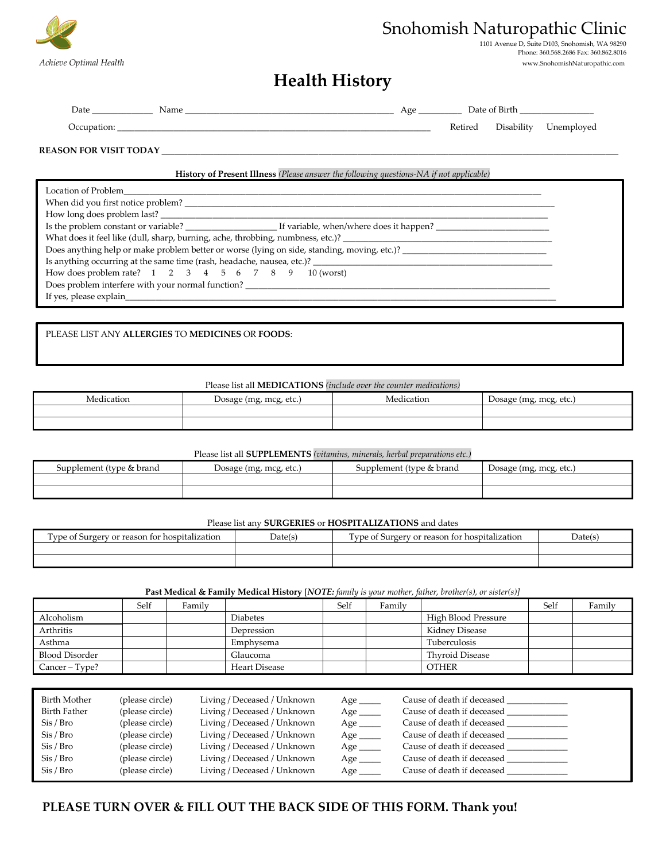

# Snohomish Naturopathic Clinic

1101 Avenue D, Suite D103, Snohomish, WA 98290 Phone: 360.568.2686 Fax: 360.862.8016

*Achieve Optimal Health* www.SnohomishNaturopathic.com

# **Health History**

| Date        | Name | Age | Date of Birth |            |            |
|-------------|------|-----|---------------|------------|------------|
| Occupation: |      |     | Retired       | Disability | Unemployed |

### REASON FOR VISIT TODAY

### **History of Present Illness** *(Please answer the following questions-NA if not applicable)*

| How long does problem last?                                                                                    |  |  |  |  |  |
|----------------------------------------------------------------------------------------------------------------|--|--|--|--|--|
|                                                                                                                |  |  |  |  |  |
|                                                                                                                |  |  |  |  |  |
| Does anything help or make problem better or worse (lying on side, standing, moving, etc.)? __________________ |  |  |  |  |  |
| Is anything occurring at the same time (rash, headache, nausea, etc.)?                                         |  |  |  |  |  |
| How does problem rate? 1 2 3 4 5 6 7 8 9 10 (worst)                                                            |  |  |  |  |  |
| Does problem interfere with your normal function? ______________________________                               |  |  |  |  |  |
|                                                                                                                |  |  |  |  |  |

## PLEASE LIST ANY **ALLERGIES** TO **MEDICINES** OR **FOODS**:

#### Please list all **MEDICATIONS** *(include over the counter medications)*

| $\cdots$<br>Medication | , mcg, etc.)<br>Dosage (mg, | Medication | Dosage (mg, mcg, etc.) |
|------------------------|-----------------------------|------------|------------------------|
|                        |                             |            |                        |
|                        |                             |            |                        |

### Please list all **SUPPLEMENTS** *(vitamins, minerals, herbal preparations etc.)*

| Supplement (type & brand | Dosage (mg, mcg, etc.) | Supplement (type & brand | Dosage (mg, mcg, etc.) |
|--------------------------|------------------------|--------------------------|------------------------|
|                          |                        |                          |                        |
|                          |                        |                          |                        |

#### Please list any **SURGERIES** or **HOSPITALIZATIONS** and dates

| m<br>ivne of<br>, hospitalization<br>reason<br>or<br><b>Surgery</b><br>tor | Date(s | $\sim$<br><b>v</b> pe<br>, reason<br>i for hospitalization<br>$\sim$<br><b>Surgery</b><br>- 91 | Date(s) |
|----------------------------------------------------------------------------|--------|------------------------------------------------------------------------------------------------|---------|
|                                                                            |        |                                                                                                |         |
|                                                                            |        |                                                                                                |         |

### **Past Medical & Family Medical History** [*NOTE: family is your mother, father, brother(s), or sister(s)]*

|                       | Self | Family |                 | Self | Family |                     | Self | Family |
|-----------------------|------|--------|-----------------|------|--------|---------------------|------|--------|
| Alcoholism            |      |        | <b>Diabetes</b> |      |        | High Blood Pressure |      |        |
| Arthritis             |      |        | Depression      |      |        | Kidney Disease      |      |        |
| Asthma                |      |        | Emphysema       |      |        | Tuberculosis        |      |        |
| <b>Blood Disorder</b> |      |        | Glaucoma        |      |        | Thyroid Disease     |      |        |
| Cancer – Type?        |      |        | Heart Disease   |      |        | <b>OTHER</b>        |      |        |

| Birth Mother          | (please circle) | Living / Deceased / Unknown | Age $\_\_$ | Cause of death if deceased |
|-----------------------|-----------------|-----------------------------|------------|----------------------------|
| Birth Father          | (please circle) | Living / Deceased / Unknown | Age        | Cause of death if deceased |
| Sis / Bro             | (please circle) | Living / Deceased / Unknown | Age        | Cause of death if deceased |
| Sis / Bro             | (please circle) | Living / Deceased / Unknown | Age        | Cause of death if deceased |
| Si <sub>s</sub> / Bro | (please circle) | Living / Deceased / Unknown |            | Cause of death if deceased |
| Si <sub>s</sub> / Bro | (please circle) | Living / Deceased / Unknown | $Age \_$   | Cause of death if deceased |
| Si <sub>s</sub> / Bro | (please circle) | Living / Deceased / Unknown | Age $\_$   | Cause of death if deceased |

# **PLEASE TURN OVER & FILL OUT THE BACK SIDE OF THIS FORM. Thank you!**